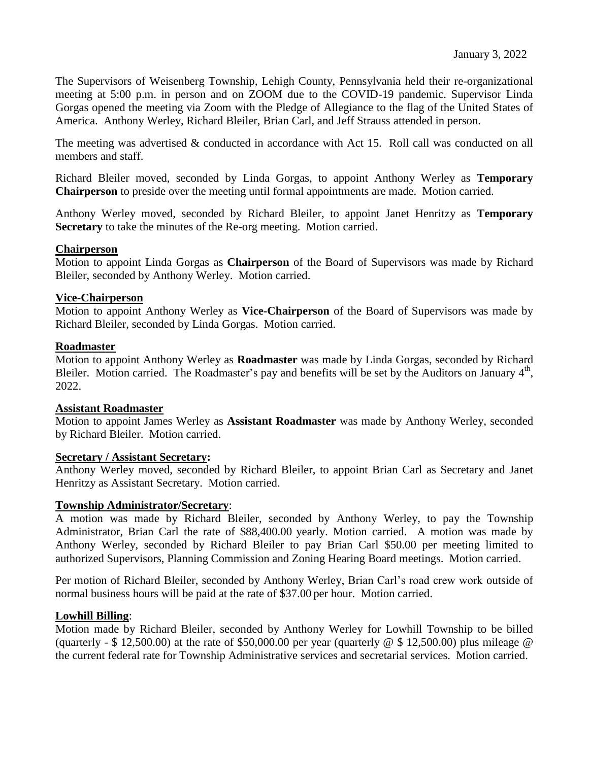The Supervisors of Weisenberg Township, Lehigh County, Pennsylvania held their re-organizational meeting at 5:00 p.m. in person and on ZOOM due to the COVID-19 pandemic. Supervisor Linda Gorgas opened the meeting via Zoom with the Pledge of Allegiance to the flag of the United States of America. Anthony Werley, Richard Bleiler, Brian Carl, and Jeff Strauss attended in person.

The meeting was advertised & conducted in accordance with Act 15. Roll call was conducted on all members and staff.

Richard Bleiler moved, seconded by Linda Gorgas, to appoint Anthony Werley as **Temporary Chairperson** to preside over the meeting until formal appointments are made. Motion carried.

Anthony Werley moved, seconded by Richard Bleiler, to appoint Janet Henritzy as **Temporary Secretary** to take the minutes of the Re-org meeting. Motion carried.

### **Chairperson**

Motion to appoint Linda Gorgas as **Chairperson** of the Board of Supervisors was made by Richard Bleiler, seconded by Anthony Werley. Motion carried.

### **Vice-Chairperson**

Motion to appoint Anthony Werley as **Vice-Chairperson** of the Board of Supervisors was made by Richard Bleiler, seconded by Linda Gorgas. Motion carried.

#### **Roadmaster**

Motion to appoint Anthony Werley as **Roadmaster** was made by Linda Gorgas, seconded by Richard Bleiler. Motion carried. The Roadmaster's pay and benefits will be set by the Auditors on January  $4<sup>th</sup>$ , 2022.

#### **Assistant Roadmaster**

Motion to appoint James Werley as **Assistant Roadmaster** was made by Anthony Werley, seconded by Richard Bleiler. Motion carried.

### **Secretary / Assistant Secretary:**

Anthony Werley moved, seconded by Richard Bleiler, to appoint Brian Carl as Secretary and Janet Henritzy as Assistant Secretary. Motion carried.

### **Township Administrator/Secretary**:

A motion was made by Richard Bleiler, seconded by Anthony Werley, to pay the Township Administrator, Brian Carl the rate of \$88,400.00 yearly. Motion carried. A motion was made by Anthony Werley, seconded by Richard Bleiler to pay Brian Carl \$50.00 per meeting limited to authorized Supervisors, Planning Commission and Zoning Hearing Board meetings. Motion carried.

Per motion of Richard Bleiler, seconded by Anthony Werley, Brian Carl's road crew work outside of normal business hours will be paid at the rate of \$37.00 per hour. Motion carried.

### **Lowhill Billing**:

Motion made by Richard Bleiler, seconded by Anthony Werley for Lowhill Township to be billed (quarterly - \$ 12,500.00) at the rate of \$50,000.00 per year (quarterly  $\omega$  \$ 12,500.00) plus mileage  $\omega$ the current federal rate for Township Administrative services and secretarial services. Motion carried.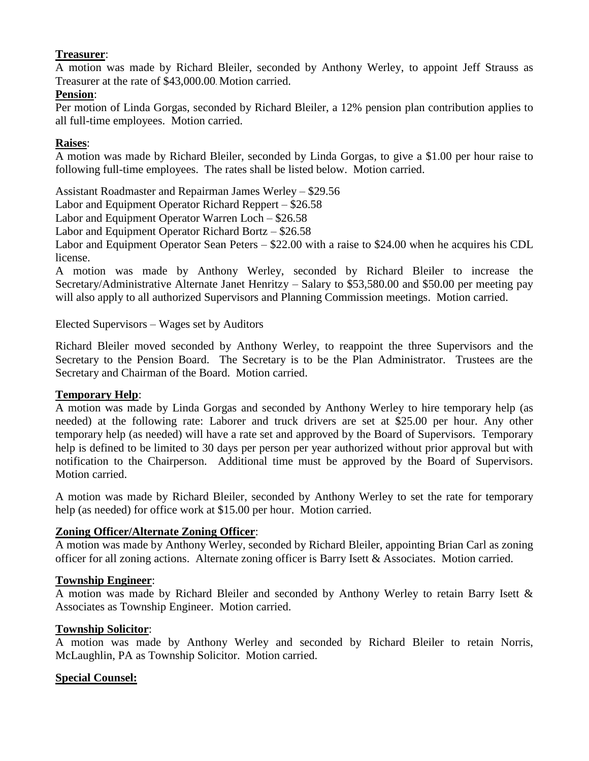# **Treasurer**:

A motion was made by Richard Bleiler, seconded by Anthony Werley, to appoint Jeff Strauss as Treasurer at the rate of \$43,000.00. Motion carried.

### **Pension**:

Per motion of Linda Gorgas, seconded by Richard Bleiler, a 12% pension plan contribution applies to all full-time employees. Motion carried.

## **Raises**:

A motion was made by Richard Bleiler, seconded by Linda Gorgas, to give a \$1.00 per hour raise to following full-time employees. The rates shall be listed below. Motion carried.

Assistant Roadmaster and Repairman James Werley – \$29.56

Labor and Equipment Operator Richard Reppert – \$26.58

Labor and Equipment Operator Warren Loch – \$26.58

Labor and Equipment Operator Richard Bortz – \$26.58

Labor and Equipment Operator Sean Peters – \$22.00 with a raise to \$24.00 when he acquires his CDL license.

A motion was made by Anthony Werley, seconded by Richard Bleiler to increase the Secretary/Administrative Alternate Janet Henritzy – Salary to \$53,580.00 and \$50.00 per meeting pay will also apply to all authorized Supervisors and Planning Commission meetings. Motion carried.

Elected Supervisors – Wages set by Auditors

Richard Bleiler moved seconded by Anthony Werley, to reappoint the three Supervisors and the Secretary to the Pension Board. The Secretary is to be the Plan Administrator. Trustees are the Secretary and Chairman of the Board. Motion carried.

# **Temporary Help**:

A motion was made by Linda Gorgas and seconded by Anthony Werley to hire temporary help (as needed) at the following rate: Laborer and truck drivers are set at \$25.00 per hour. Any other temporary help (as needed) will have a rate set and approved by the Board of Supervisors. Temporary help is defined to be limited to 30 days per person per year authorized without prior approval but with notification to the Chairperson. Additional time must be approved by the Board of Supervisors. Motion carried.

A motion was made by Richard Bleiler, seconded by Anthony Werley to set the rate for temporary help (as needed) for office work at \$15.00 per hour. Motion carried.

### **Zoning Officer/Alternate Zoning Officer**:

A motion was made by Anthony Werley, seconded by Richard Bleiler, appointing Brian Carl as zoning officer for all zoning actions. Alternate zoning officer is Barry Isett & Associates. Motion carried.

### **Township Engineer**:

A motion was made by Richard Bleiler and seconded by Anthony Werley to retain Barry Isett & Associates as Township Engineer. Motion carried.

### **Township Solicitor**:

A motion was made by Anthony Werley and seconded by Richard Bleiler to retain Norris, McLaughlin, PA as Township Solicitor. Motion carried.

### **Special Counsel:**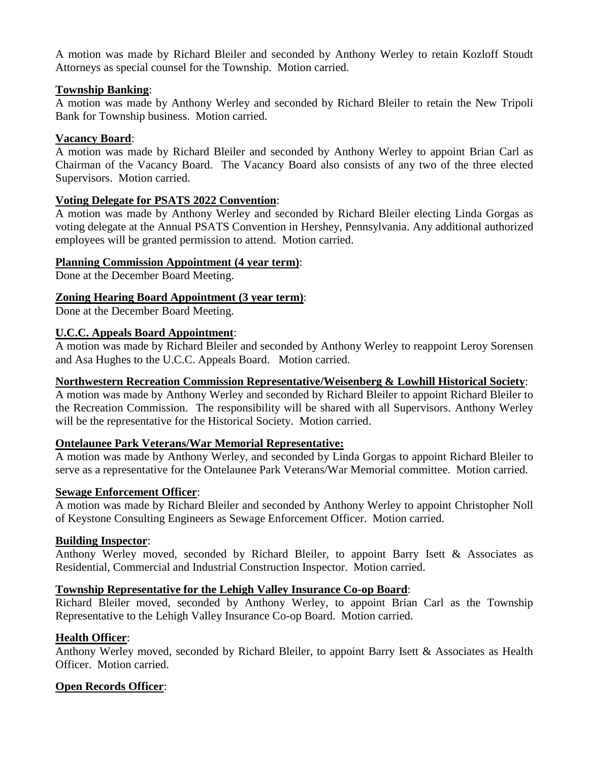A motion was made by Richard Bleiler and seconded by Anthony Werley to retain Kozloff Stoudt Attorneys as special counsel for the Township. Motion carried.

## **Township Banking**:

A motion was made by Anthony Werley and seconded by Richard Bleiler to retain the New Tripoli Bank for Township business. Motion carried.

## **Vacancy Board**:

A motion was made by Richard Bleiler and seconded by Anthony Werley to appoint Brian Carl as Chairman of the Vacancy Board. The Vacancy Board also consists of any two of the three elected Supervisors. Motion carried.

# **Voting Delegate for PSATS 2022 Convention**:

A motion was made by Anthony Werley and seconded by Richard Bleiler electing Linda Gorgas as voting delegate at the Annual PSATS Convention in Hershey, Pennsylvania. Any additional authorized employees will be granted permission to attend. Motion carried.

## **Planning Commission Appointment (4 year term)**:

Done at the December Board Meeting.

## **Zoning Hearing Board Appointment (3 year term)**:

Done at the December Board Meeting.

## **U.C.C. Appeals Board Appointment**:

A motion was made by Richard Bleiler and seconded by Anthony Werley to reappoint Leroy Sorensen and Asa Hughes to the U.C.C. Appeals Board. Motion carried.

### **Northwestern Recreation Commission Representative/Weisenberg & Lowhill Historical Society**:

A motion was made by Anthony Werley and seconded by Richard Bleiler to appoint Richard Bleiler to the Recreation Commission. The responsibility will be shared with all Supervisors. Anthony Werley will be the representative for the Historical Society. Motion carried.

### **Ontelaunee Park Veterans/War Memorial Representative:**

A motion was made by Anthony Werley, and seconded by Linda Gorgas to appoint Richard Bleiler to serve as a representative for the Ontelaunee Park Veterans/War Memorial committee. Motion carried.

### **Sewage Enforcement Officer**:

A motion was made by Richard Bleiler and seconded by Anthony Werley to appoint Christopher Noll of Keystone Consulting Engineers as Sewage Enforcement Officer. Motion carried.

## **Building Inspector**:

Anthony Werley moved, seconded by Richard Bleiler, to appoint Barry Isett & Associates as Residential, Commercial and Industrial Construction Inspector. Motion carried.

# **Township Representative for the Lehigh Valley Insurance Co-op Board**:

Richard Bleiler moved, seconded by Anthony Werley, to appoint Brian Carl as the Township Representative to the Lehigh Valley Insurance Co-op Board. Motion carried.

### **Health Officer**:

Anthony Werley moved, seconded by Richard Bleiler, to appoint Barry Isett & Associates as Health Officer. Motion carried.

# **Open Records Officer**: